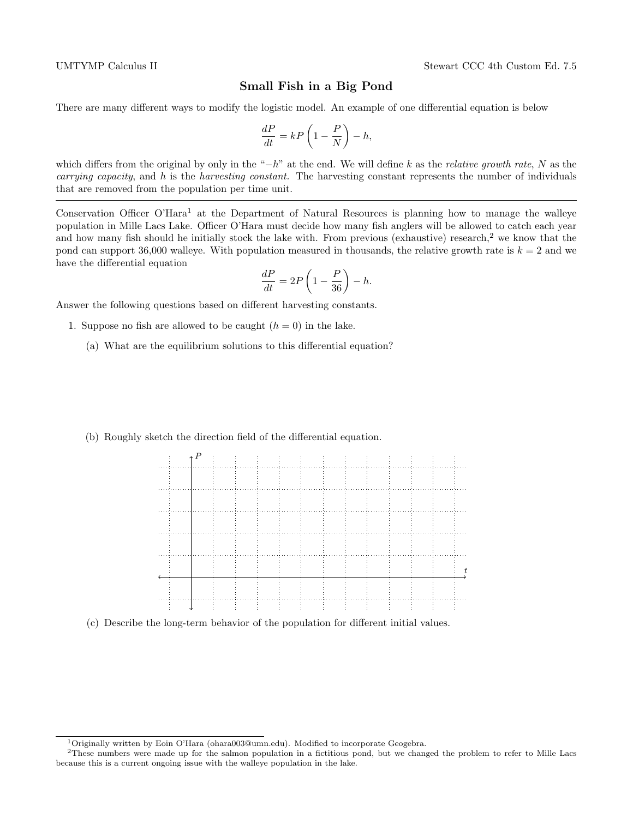## Small Fish in a Big Pond

There are many different ways to modify the logistic model. An example of one differential equation is below

$$
\frac{dP}{dt} = kP\left(1 - \frac{P}{N}\right) - h,
$$

which differs from the original by only in the "−h" at the end. We will define k as the relative growth rate, N as the *carrying capacity*, and  $h$  is the *harvesting constant*. The harvesting constant represents the number of individuals that are removed from the population per time unit.

Conservation Officer O'Hara<sup>1</sup> at the Department of Natural Resources is planning how to manage the walleye population in Mille Lacs Lake. Officer O'Hara must decide how many fish anglers will be allowed to catch each year and how many fish should he initially stock the lake with. From previous (exhaustive) research,<sup>2</sup> we know that the pond can support 36,000 walleye. With population measured in thousands, the relative growth rate is  $k = 2$  and we have the differential equation

$$
\frac{dP}{dt} = 2P\left(1 - \frac{P}{36}\right) - h.
$$

Answer the following questions based on different harvesting constants.

- 1. Suppose no fish are allowed to be caught  $(h = 0)$  in the lake.
	- (a) What are the equilibrium solutions to this differential equation?
	- (b) Roughly sketch the direction field of the differential equation.



(c) Describe the long-term behavior of the population for different initial values.

<sup>&</sup>lt;sup>1</sup>Originally written by Eoin O'Hara (ohara003@umn.edu). Modified to incorporate Geogebra.

<sup>2</sup>These numbers were made up for the salmon population in a fictitious pond, but we changed the problem to refer to Mille Lacs because this is a current ongoing issue with the walleye population in the lake.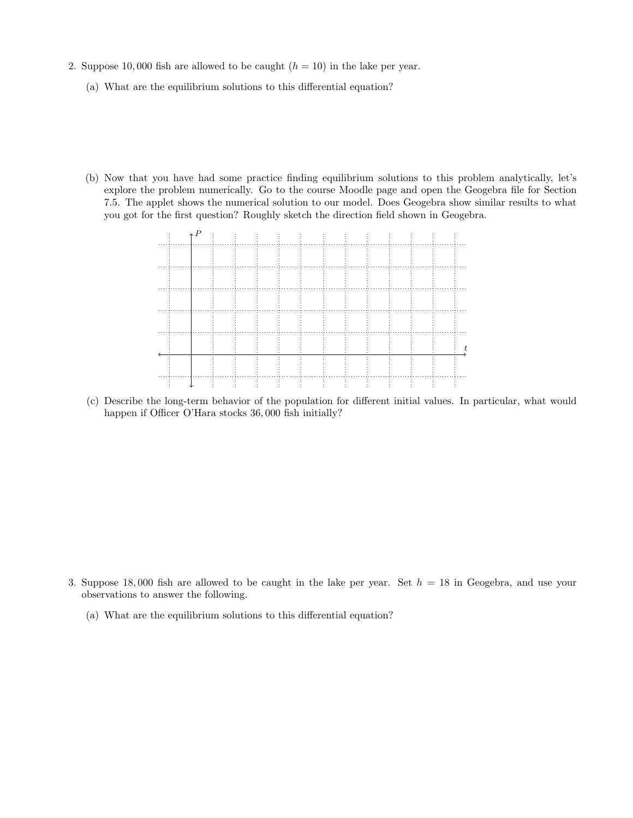- 2. Suppose 10,000 fish are allowed to be caught  $(h = 10)$  in the lake per year.
	- (a) What are the equilibrium solutions to this differential equation?
	- (b) Now that you have had some practice finding equilibrium solutions to this problem analytically, let's explore the problem numerically. Go to the course Moodle page and open the Geogebra file for Section 7.5. The applet shows the numerical solution to our model. Does Geogebra show similar results to what you got for the first question? Roughly sketch the direction field shown in Geogebra.



(c) Describe the long-term behavior of the population for different initial values. In particular, what would happen if Officer O'Hara stocks 36, 000 fish initially?

- 3. Suppose 18,000 fish are allowed to be caught in the lake per year. Set  $h = 18$  in Geogebra, and use your observations to answer the following.
	- (a) What are the equilibrium solutions to this differential equation?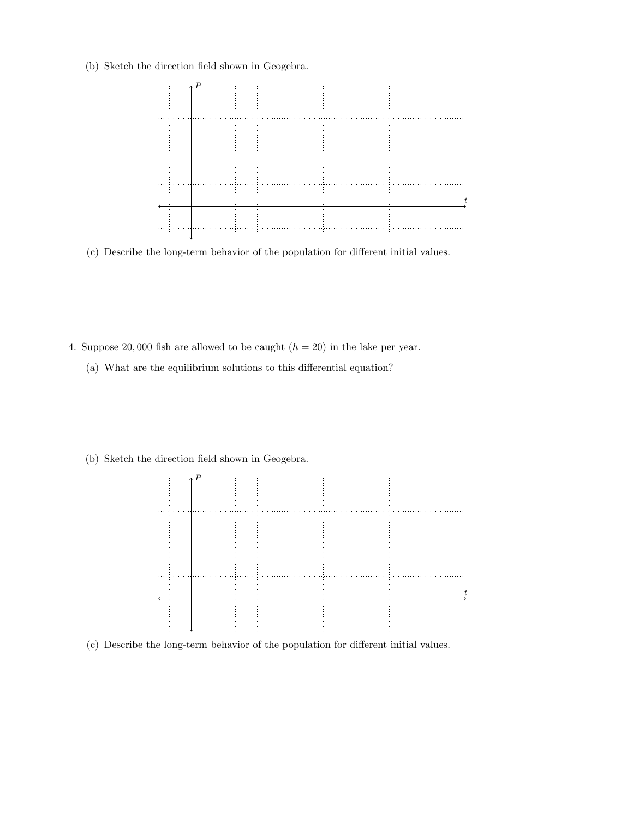(b) Sketch the direction field shown in Geogebra.



(c) Describe the long-term behavior of the population for different initial values.

- 4. Suppose 20,000 fish are allowed to be caught  $(h = 20)$  in the lake per year.
	- (a) What are the equilibrium solutions to this differential equation?
	- (b) Sketch the direction field shown in Geogebra.



(c) Describe the long-term behavior of the population for different initial values.